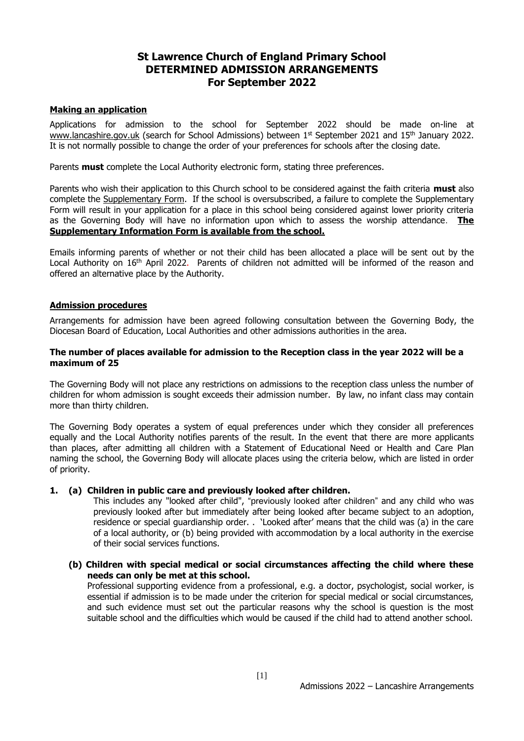## **St Lawrence Church of England Primary School DETERMINED ADMISSION ARRANGEMENTS For September 2022**

#### **Making an application**

Applications for admission to the school for September 2022 should be made on-line at [www.lancashire.gov.uk](http://www.lancashire.gov.uk/) (search for School Admissions) between 1<sup>st</sup> September 2021 and 15<sup>th</sup> January 2022. It is not normally possible to change the order of your preferences for schools after the closing date.

Parents **must** complete the Local Authority electronic form, stating three preferences.

Parents who wish their application to this Church school to be considered against the faith criteria **must** also complete the Supplementary Form. If the school is oversubscribed, a failure to complete the Supplementary Form will result in your application for a place in this school being considered against lower priority criteria as the Governing Body will have no information upon which to assess the worship attendance. **The Supplementary Information Form is available from the school.**

Emails informing parents of whether or not their child has been allocated a place will be sent out by the Local Authority on 16<sup>th</sup> April 2022. Parents of children not admitted will be informed of the reason and offered an alternative place by the Authority.

#### **Admission procedures**

Arrangements for admission have been agreed following consultation between the Governing Body, the Diocesan Board of Education, Local Authorities and other admissions authorities in the area.

#### **The number of places available for admission to the Reception class in the year 2022 will be a maximum of 25**

The Governing Body will not place any restrictions on admissions to the reception class unless the number of children for whom admission is sought exceeds their admission number. By law, no infant class may contain more than thirty children.

The Governing Body operates a system of equal preferences under which they consider all preferences equally and the Local Authority notifies parents of the result. In the event that there are more applicants than places, after admitting all children with a Statement of Educational Need or Health and Care Plan naming the school, the Governing Body will allocate places using the criteria below, which are listed in order of priority.

#### **1. (a) Children in public care and previously looked after children.**

This includes any "looked after child", "previously looked after children" and any child who was previously looked after but immediately after being looked after became subject to an adoption, residence or special guardianship order. . 'Looked after' means that the child was (a) in the care of a local authority, or (b) being provided with accommodation by a local authority in the exercise of their social services functions.

**(b) Children with special medical or social circumstances affecting the child where these needs can only be met at this school.**

Professional supporting evidence from a professional, e.g. a doctor, psychologist, social worker, is essential if admission is to be made under the criterion for special medical or social circumstances, and such evidence must set out the particular reasons why the school is question is the most suitable school and the difficulties which would be caused if the child had to attend another school.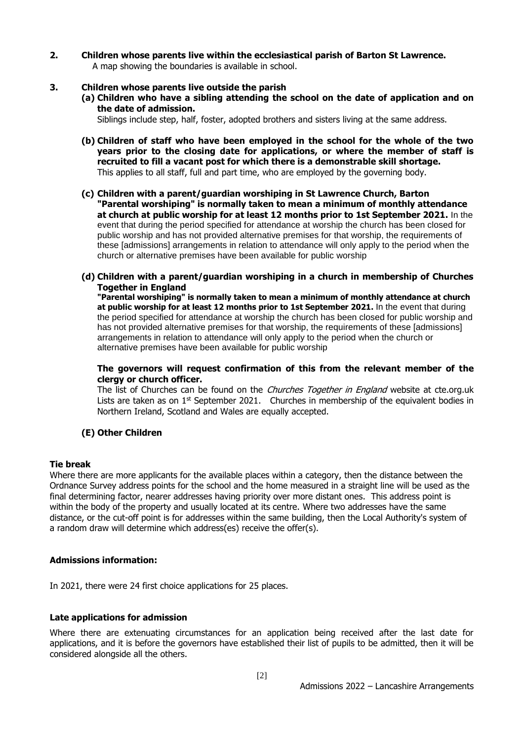**2. Children whose parents live within the ecclesiastical parish of Barton St Lawrence.** A map showing the boundaries is available in school.

#### **3. Children whose parents live outside the parish**

**(a) Children who have a sibling attending the school on the date of application and on the date of admission.**

Siblings include step, half, foster, adopted brothers and sisters living at the same address.

- **(b) Children of staff who have been employed in the school for the whole of the two years prior to the closing date for applications, or where the member of staff is recruited to fill a vacant post for which there is a demonstrable skill shortage.**  This applies to all staff, full and part time, who are employed by the governing body.
- **(c) Children with a parent/guardian worshiping in St Lawrence Church, Barton "Parental worshiping" is normally taken to mean a minimum of monthly attendance at church at public worship for at least 12 months prior to 1st September 2021.** In the event that during the period specified for attendance at worship the church has been closed for public worship and has not provided alternative premises for that worship, the requirements of these [admissions] arrangements in relation to attendance will only apply to the period when the church or alternative premises have been available for public worship
- **(d) Children with a parent/guardian worshiping in a church in membership of Churches Together in England**

**"Parental worshiping" is normally taken to mean a minimum of monthly attendance at church at public worship for at least 12 months prior to 1st September 2021.** In the event that during the period specified for attendance at worship the church has been closed for public worship and has not provided alternative premises for that worship, the requirements of these [admissions] arrangements in relation to attendance will only apply to the period when the church or alternative premises have been available for public worship

#### **The governors will request confirmation of this from the relevant member of the clergy or church officer.**

The list of Churches can be found on the *Churches Together in England* website at cte.org.uk Lists are taken as on  $1<sup>st</sup>$  September 2021. Churches in membership of the equivalent bodies in Northern Ireland, Scotland and Wales are equally accepted.

#### **(E) Other Children**

#### **Tie break**

Where there are more applicants for the available places within a category, then the distance between the Ordnance Survey address points for the school and the home measured in a straight line will be used as the final determining factor, nearer addresses having priority over more distant ones. This address point is within the body of the property and usually located at its centre. Where two addresses have the same distance, or the cut-off point is for addresses within the same building, then the Local Authority's system of a random draw will determine which address(es) receive the offer(s).

#### **Admissions information:**

In 2021, there were 24 first choice applications for 25 places.

#### **Late applications for admission**

Where there are extenuating circumstances for an application being received after the last date for applications, and it is before the governors have established their list of pupils to be admitted, then it will be considered alongside all the others.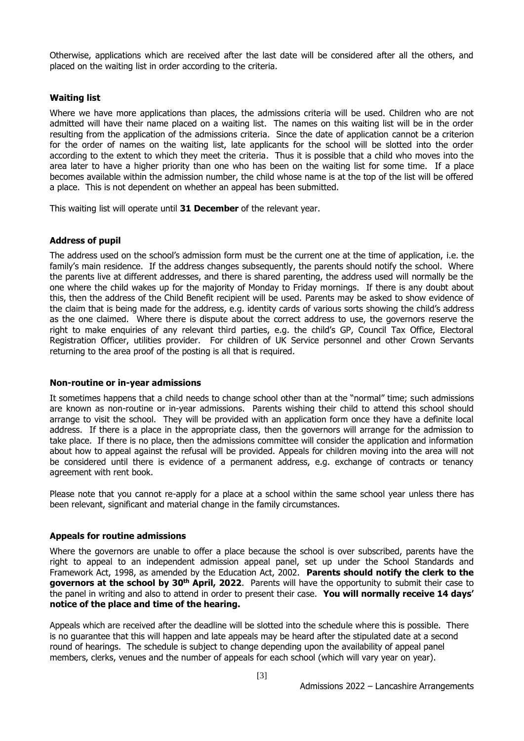Otherwise, applications which are received after the last date will be considered after all the others, and placed on the waiting list in order according to the criteria.

#### **Waiting list**

Where we have more applications than places, the admissions criteria will be used. Children who are not admitted will have their name placed on a waiting list. The names on this waiting list will be in the order resulting from the application of the admissions criteria. Since the date of application cannot be a criterion for the order of names on the waiting list, late applicants for the school will be slotted into the order according to the extent to which they meet the criteria. Thus it is possible that a child who moves into the area later to have a higher priority than one who has been on the waiting list for some time. If a place becomes available within the admission number, the child whose name is at the top of the list will be offered a place. This is not dependent on whether an appeal has been submitted.

This waiting list will operate until **31 December** of the relevant year.

#### **Address of pupil**

The address used on the school's admission form must be the current one at the time of application, i.e. the family's main residence. If the address changes subsequently, the parents should notify the school. Where the parents live at different addresses, and there is shared parenting, the address used will normally be the one where the child wakes up for the majority of Monday to Friday mornings. If there is any doubt about this, then the address of the Child Benefit recipient will be used. Parents may be asked to show evidence of the claim that is being made for the address, e.g. identity cards of various sorts showing the child's address as the one claimed. Where there is dispute about the correct address to use, the governors reserve the right to make enquiries of any relevant third parties, e.g. the child's GP, Council Tax Office, Electoral Registration Officer, utilities provider. For children of UK Service personnel and other Crown Servants returning to the area proof of the posting is all that is required.

#### **Non-routine or in-year admissions**

It sometimes happens that a child needs to change school other than at the "normal" time; such admissions are known as non-routine or in-year admissions. Parents wishing their child to attend this school should arrange to visit the school. They will be provided with an application form once they have a definite local address. If there is a place in the appropriate class, then the governors will arrange for the admission to take place. If there is no place, then the admissions committee will consider the application and information about how to appeal against the refusal will be provided. Appeals for children moving into the area will not be considered until there is evidence of a permanent address, e.g. exchange of contracts or tenancy agreement with rent book.

Please note that you cannot re-apply for a place at a school within the same school year unless there has been relevant, significant and material change in the family circumstances.

#### **Appeals for routine admissions**

Where the governors are unable to offer a place because the school is over subscribed, parents have the right to appeal to an independent admission appeal panel, set up under the School Standards and Framework Act, 1998, as amended by the Education Act, 2002. **Parents should notify the clerk to the governors at the school by 30th April, 2022**. Parents will have the opportunity to submit their case to the panel in writing and also to attend in order to present their case. **You will normally receive 14 days' notice of the place and time of the hearing.**

Appeals which are received after the deadline will be slotted into the schedule where this is possible. There is no guarantee that this will happen and late appeals may be heard after the stipulated date at a second round of hearings. The schedule is subject to change depending upon the availability of appeal panel members, clerks, venues and the number of appeals for each school (which will vary year on year).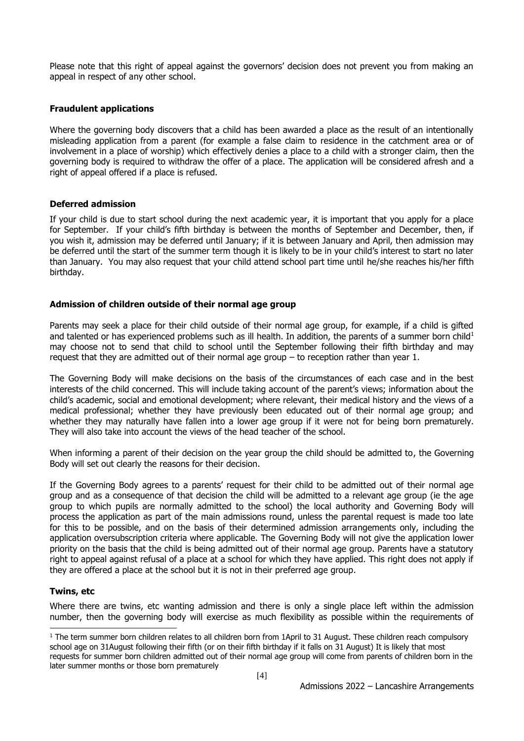Please note that this right of appeal against the governors' decision does not prevent you from making an appeal in respect of any other school.

#### **Fraudulent applications**

Where the governing body discovers that a child has been awarded a place as the result of an intentionally misleading application from a parent (for example a false claim to residence in the catchment area or of involvement in a place of worship) which effectively denies a place to a child with a stronger claim, then the governing body is required to withdraw the offer of a place. The application will be considered afresh and a right of appeal offered if a place is refused.

#### **Deferred admission**

If your child is due to start school during the next academic year, it is important that you apply for a place for September. If your child's fifth birthday is between the months of September and December, then, if you wish it, admission may be deferred until January; if it is between January and April, then admission may be deferred until the start of the summer term though it is likely to be in your child's interest to start no later than January. You may also request that your child attend school part time until he/she reaches his/her fifth birthday.

#### **Admission of children outside of their normal age group**

Parents may seek a place for their child outside of their normal age group, for example, if a child is gifted and talented or has experienced problems such as ill health. In addition, the parents of a summer born child<sup>1</sup> may choose not to send that child to school until the September following their fifth birthday and may request that they are admitted out of their normal age group – to reception rather than year 1.

The Governing Body will make decisions on the basis of the circumstances of each case and in the best interests of the child concerned. This will include taking account of the parent's views; information about the child's academic, social and emotional development; where relevant, their medical history and the views of a medical professional; whether they have previously been educated out of their normal age group; and whether they may naturally have fallen into a lower age group if it were not for being born prematurely. They will also take into account the views of the head teacher of the school.

When informing a parent of their decision on the year group the child should be admitted to, the Governing Body will set out clearly the reasons for their decision.

If the Governing Body agrees to a parents' request for their child to be admitted out of their normal age group and as a consequence of that decision the child will be admitted to a relevant age group (ie the age group to which pupils are normally admitted to the school) the local authority and Governing Body will process the application as part of the main admissions round, unless the parental request is made too late for this to be possible, and on the basis of their determined admission arrangements only, including the application oversubscription criteria where applicable. The Governing Body will not give the application lower priority on the basis that the child is being admitted out of their normal age group. Parents have a statutory right to appeal against refusal of a place at a school for which they have applied. This right does not apply if they are offered a place at the school but it is not in their preferred age group.

#### **Twins, etc**

Where there are twins, etc wanting admission and there is only a single place left within the admission number, then the governing body will exercise as much flexibility as possible within the requirements of

<sup>-</sup> $1$  The term summer born children relates to all children born from 1April to 31 August. These children reach compulsory school age on 31August following their fifth (or on their fifth birthday if it falls on 31 August) It is likely that most requests for summer born children admitted out of their normal age group will come from parents of children born in the later summer months or those born prematurely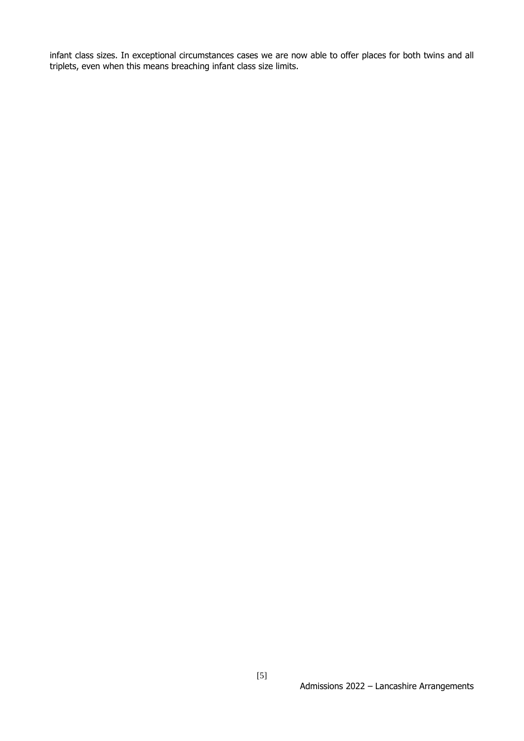infant class sizes. In exceptional circumstances cases we are now able to offer places for both twins and all triplets, even when this means breaching infant class size limits.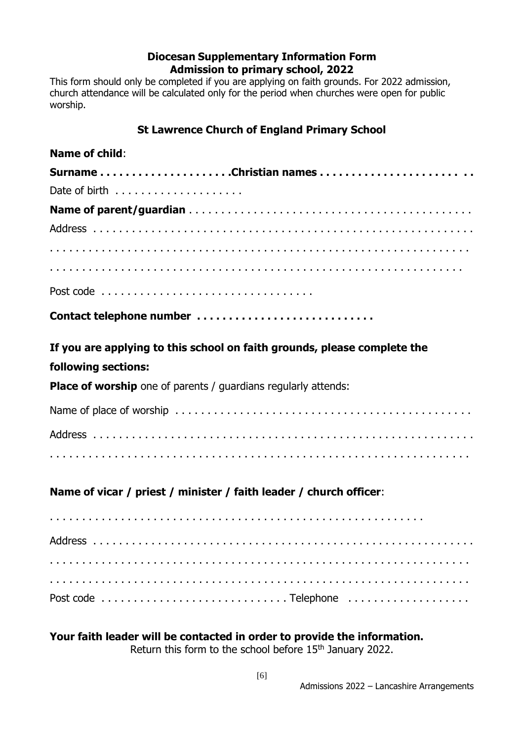## **Diocesan Supplementary Information Form Admission to primary school, 2022**

This form should only be completed if you are applying on faith grounds. For 2022 admission, church attendance will be calculated only for the period when churches were open for public worship.

# **St Lawrence Church of England Primary School**

# **Name of child**: **Surname . . . . . . . . . . . . . . . . . . . . .Christian names . . . . . . . . . . . . . . . . . . . . . . . .**  Date of birth  $\ldots \ldots \ldots \ldots \ldots$ **Name of parent/guardian** . . . . . . . . . . . . . . . . . . . . . . . . . . . . . . . . . . . . . . . . . . . . Address . . . . . . . . . . . . . . . . . . . . . . . . . . . . . . . . . . . . . . . . . . . . . . . . . . . . . . . . . . . . . . . . . . . . . . . . . . . . . . . . . . . . . . . . . . . . . . . . . . . . . . . . . . . . . . . . . . . . . . . . . . . . . . . . . . . . . . . . . . . . . . . . . . . . . . . . . . . . . . . . . . . . . . . . . . . . . . . . . . . . . . . . . . . . Post code . . . . . . . . . . . . . . . . . . . . . . . . . . . . . . . . . **Contact telephone number . . . . . . . . . . . . . . . . . . . . . . . . . . . . If you are applying to this school on faith grounds, please complete the following sections: Place of worship** one of parents / guardians regularly attends: Name of place of worship . . . . . . . . . . . . . . . . . . . . . . . . . . . . . . . . . . . . . . . . . . . . . . Address . . . . . . . . . . . . . . . . . . . . . . . . . . . . . . . . . . . . . . . . . . . . . . . . . . . . . . . . . . . . . . . . . . . . . . . . . . . . . . . . . . . . . . . . . . . . . . . . . . . . . . . . . . . . . . . . . . . . . . . . . . . . **Name of vicar / priest / minister / faith leader / church officer**: . . . . . . . . . . . . . . . . . . . . . . . . . . . . . . . . . . . . . . . . . . . . . . . . . . . . . . . . . . Address . . . . . . . . . . . . . . . . . . . . . . . . . . . . . . . . . . . . . . . . . . . . . . . . . . . . . . . . . . . . . . . . . . . . . . . . . . . . . . . . . . . . . . . . . . . . . . . . . . . . . . . . . . . . . . . . . . . . . . . . . . . . . . . . . . . . . . . . . . . . . . . . . . . . . . . . . . . . . . . . . . . . . . . . . . . . . . . . . . . . . . . . . . . . . Post code . . . . . . . . . . . . . . . . . . . . . . . . . . . . . Telephone . . . . . . . . . . . . . . . . . . .

**Your faith leader will be contacted in order to provide the information.** Return this form to the school before 15<sup>th</sup> January 2022.